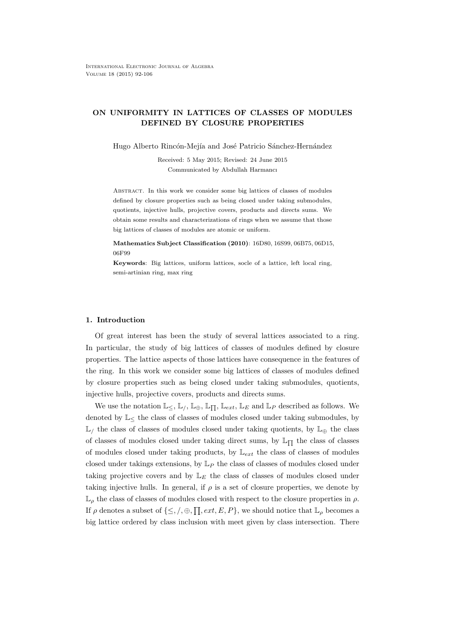# ON UNIFORMITY IN LATTICES OF CLASSES OF MODULES DEFINED BY CLOSURE PROPERTIES

Hugo Alberto Rincón-Mejía and José Patricio Sánchez-Hernández

Received: 5 May 2015; Revised: 24 June 2015 Communicated by Abdullah Harmancı

Abstract. In this work we consider some big lattices of classes of modules defined by closure properties such as being closed under taking submodules, quotients, injective hulls, projective covers, products and directs sums. We obtain some results and characterizations of rings when we assume that those big lattices of classes of modules are atomic or uniform.

Mathematics Subject Classification (2010): 16D80, 16S99, 06B75, 06D15, 06F99

Keywords: Big lattices, uniform lattices, socle of a lattice, left local ring, semi-artinian ring, max ring

# 1. Introduction

Of great interest has been the study of several lattices associated to a ring. In particular, the study of big lattices of classes of modules defined by closure properties. The lattice aspects of those lattices have consequence in the features of the ring. In this work we consider some big lattices of classes of modules defined by closure properties such as being closed under taking submodules, quotients, injective hulls, projective covers, products and directs sums.

We use the notation  $\mathbb{L}_{\leq}$ ,  $\mathbb{L}_{\neq}$ ,  $\mathbb{L}_{\Box}$ ,  $\mathbb{L}_{ext}$ ,  $\mathbb{L}_{E}$  and  $\mathbb{L}_{P}$  described as follows. We denoted by  $\mathbb{L}_{\leq}$  the class of classes of modules closed under taking submodules, by  $\mathbb{L}_\ell$  the class of classes of modules closed under taking quotients, by  $\mathbb{L}_\oplus$  the class of classes of modules closed under taking direct sums, by  $\mathbb{L}_{\Pi}$  the class of classes of modules closed under taking products, by  $\mathbb{L}_{ext}$  the class of classes of modules closed under takings extensions, by  $L_P$  the class of classes of modules closed under taking projective covers and by  $L_E$  the class of classes of modules closed under taking injective hulls. In general, if  $\rho$  is a set of closure properties, we denote by  $\mathbb{L}_{\rho}$  the class of classes of modules closed with respect to the closure properties in  $\rho$ . If  $\rho$  denotes a subset of  $\{\leq,\,/\,\oplus,\prod,ext,E,P\}$ , we should notice that  $\mathbb{L}_{\rho}$  becomes a big lattice ordered by class inclusion with meet given by class intersection. There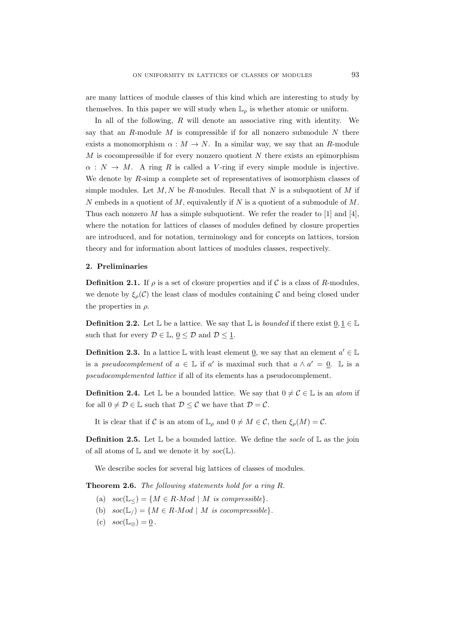are many lattices of module classes of this kind which are interesting to study by themselves. In this paper we will study when  $\mathbb{L}_{\rho}$  is whether atomic or uniform.

In all of the following,  $R$  will denote an associative ring with identity. We say that an R-module  $M$  is compressible if for all nonzero submodule  $N$  there exists a monomorphism  $\alpha : M \to N$ . In a similar way, we say that an R-module M is cocompressible if for every nonzero quotient N there exists an epimorphism  $\alpha : N \to M$ . A ring R is called a V-ring if every simple module is injective. We denote by R-simp a complete set of representatives of isomorphism classes of simple modules. Let  $M, N$  be R-modules. Recall that N is a subquotient of M if N embeds in a quotient of  $M$ , equivalently if N is a quotient of a submodule of  $M$ . Thus each nonzero M has a simple subquotient. We refer the reader to [1] and [4], where the notation for lattices of classes of modules defined by closure properties are introduced, and for notation, terminology and for concepts on lattices, torsion theory and for information about lattices of modules classes, respectively.

### 2. Preliminaries

**Definition 2.1.** If  $\rho$  is a set of closure properties and if C is a class of R-modules, we denote by  $\xi_{\rho}(\mathcal{C})$  the least class of modules containing  $\mathcal{C}$  and being closed under the properties in  $\rho$ .

**Definition 2.2.** Let  $\mathbb{L}$  be a lattice. We say that  $\mathbb{L}$  is *bounded* if there exist  $0, 1 \in \mathbb{L}$ such that for every  $\mathcal{D} \in \mathbb{L}, \underline{0} \leq \mathcal{D}$  and  $\mathcal{D} \leq \underline{1}$ .

**Definition 2.3.** In a lattice  $\mathbb{L}$  with least element  $\underline{0}$ , we say that an element  $a' \in \mathbb{L}$ is a *pseudocomplement* of  $a \in \mathbb{L}$  if  $a'$  is maximal such that  $a \wedge a' = 0$ . L is a pseudocomplemented lattice if all of its elements has a pseudocomplement.

**Definition 2.4.** Let  $\mathbb{L}$  be a bounded lattice. We say that  $0 \neq C \in \mathbb{L}$  is an *atom* if for all  $0 \neq \mathcal{D} \in \mathbb{L}$  such that  $\mathcal{D} \leq \mathcal{C}$  we have that  $\mathcal{D} = \mathcal{C}$ .

It is clear that if C is an atom of  $\mathbb{L}_{\rho}$  and  $0 \neq M \in \mathcal{C}$ , then  $\xi_{\rho}(M) = \mathcal{C}$ .

**Definition 2.5.** Let  $\mathbb{L}$  be a bounded lattice. We define the socle of  $\mathbb{L}$  as the join of all atoms of  $\mathbb L$  and we denote it by  $\mathit{soc}(\mathbb L)$ .

We describe socles for several big lattices of classes of modules.

Theorem 2.6. The following statements hold for a ring R.

- (a)  $\operatorname{soc}(\mathbb{L}_{<})=\{M \in R \text{-}Mod \mid M \text{ is compressible}\}.$
- (b)  $soc(\mathbb{L}_{l}) = \{ M \in R \text{-}Mod \mid M \text{ is cocompressible} \}.$
- (c)  $\operatorname{soc}(\mathbb{L}_{\oplus}) = 0$ .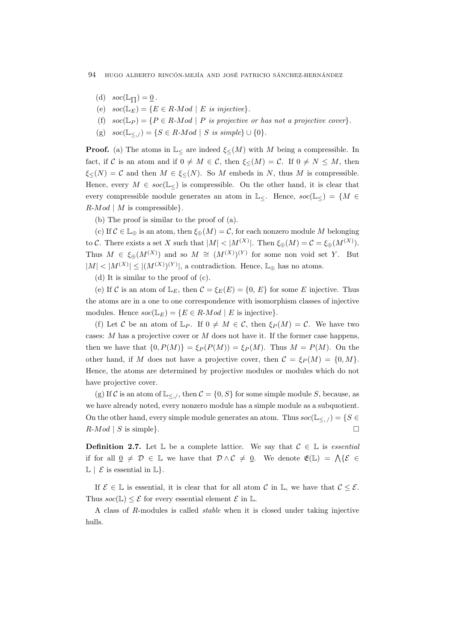- (d)  $\operatorname{soc}(\mathbb{L}_{\Pi}) = 0$ .
- (e)  $\operatorname{soc}(\mathbb{L}_E) = \{ E \in R \text{-}Mod \mid E \text{ is injective} \}.$
- (f)  $soc(\mathbb{L}_P) = \{P \in R \text{-}Mod \mid P \text{ is projective or has not a projective cover}\}.$
- (g)  $soc(\mathbb{L}_{\leq \ell}) = \{ S \in R \text{-}Mod \mid S \text{ is simple} \} \cup \{0\}.$

**Proof.** (a) The atoms in  $\mathbb{L}_{\leq}$  are indeed  $\xi_{\leq}(M)$  with M being a compressible. In fact, if C is an atom and if  $0 \neq M \in \mathcal{C}$ , then  $\xi_{\leq}(M) = \mathcal{C}$ . If  $0 \neq N \leq M$ , then  $\xi_{\leq}(N) = C$  and then  $M \in \xi_{\leq}(N)$ . So M embeds in N, thus M is compressible. Hence, every  $M \in \text{soc}(\mathbb{L}_{\leq})$  is compressible. On the other hand, it is clear that every compressible module generates an atom in  $\mathbb{L}_{\leq}$ . Hence,  $\text{soc}(\mathbb{L}_{\leq}) = \{M \in$  $R\text{-}Mod \mid M$  is compressible}.

(b) The proof is similar to the proof of (a).

(c) If  $\mathcal{C} \in \mathbb{L}_{\oplus}$  is an atom, then  $\xi_{\oplus}(M) = \mathcal{C}$ , for each nonzero module M belonging to C. There exists a set X such that  $|M| < |M^{(X)}|$ . Then  $\xi_{\oplus}(M) = C = \xi_{\oplus}(M^{(X)})$ . Thus  $M \in \xi_{\oplus}(M^{(X)})$  and so  $M \cong (M^{(X)})^{(Y)}$  for some non void set Y. But  $|M| < |M^{(X)}| \le |(M^{(X)})^{(Y)}|$ , a contradiction. Hence,  $\mathbb{L}_{\oplus}$  has no atoms.

(d) It is similar to the proof of (c).

(e) If C is an atom of  $\mathbb{L}_E$ , then  $\mathcal{C} = \xi_E(E) = \{0, E\}$  for some E injective. Thus the atoms are in a one to one correspondence with isomorphism classes of injective modules. Hence  $soc(\mathbb{L}_E) = \{ E \in R \text{-}Mod \mid E \text{ is injective} \}.$ 

(f) Let C be an atom of  $\mathbb{L}_P$ . If  $0 \neq M \in \mathcal{C}$ , then  $\xi_P(M) = \mathcal{C}$ . We have two cases:  $M$  has a projective cover or  $M$  does not have it. If the former case happens, then we have that  $\{0, P(M)\} = \xi_P(P(M)) = \xi_P(M)$ . Thus  $M = P(M)$ . On the other hand, if M does not have a projective cover, then  $C = \mathcal{E}_P(M) = \{0, M\}$ . Hence, the atoms are determined by projective modules or modules which do not have projective cover.

(g) If C is an atom of  $\mathbb{L}_{\leq \mathcal{N}}$ , then  $\mathcal{C} = \{0, S\}$  for some simple module S, because, as we have already noted, every nonzero module has a simple module as a subquotient. On the other hand, every simple module generates an atom. Thus  $\operatorname{soc}(\mathbb{L}_{\leq 1}) = \{S \in$  $R\text{-}Mod \mid S$  is simple}.

**Definition 2.7.** Let  $\mathbb{L}$  be a complete lattice. We say that  $\mathcal{C} \in \mathbb{L}$  is *essential* if for all  $\underline{0} \neq \mathcal{D} \in \mathbb{L}$  we have that  $\mathcal{D} \wedge \mathcal{C} \neq \underline{0}$ . We denote  $\mathfrak{E}(\mathbb{L}) = \bigwedge \{ \mathcal{E} \in$  $\mathbb{L} \mid \mathcal{E}$  is essential in  $\mathbb{L} \}$ .

If  $\mathcal{E} \in \mathbb{L}$  is essential, it is clear that for all atom C in  $\mathbb{L}$ , we have that  $\mathcal{C} \leq \mathcal{E}$ . Thus  $\mathit{soc}(\mathbb{L}) < \mathcal{E}$  for every essential element  $\mathcal{E}$  in  $\mathbb{L}$ .

A class of R-modules is called stable when it is closed under taking injective hulls.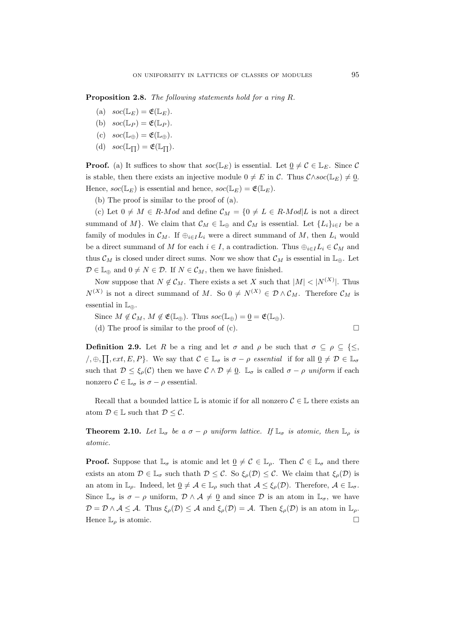Proposition 2.8. The following statements hold for a ring R.

- (a)  $\operatorname{soc}(\mathbb{L}_E) = \mathfrak{E}(\mathbb{L}_E).$
- (b)  $\operatorname{soc}(\mathbb{L}_P) = \mathfrak{E}(\mathbb{L}_P).$
- (c)  $soc(\mathbb{L}_{\oplus}) = \mathfrak{E}(\mathbb{L}_{\oplus}).$
- (d)  $\operatorname{soc}(\mathbb{L}_{\Pi}) = \mathfrak{E}(\mathbb{L}_{\Pi}).$

**Proof.** (a) It suffices to show that  $soc(\mathbb{L}_E)$  is essential. Let  $\underline{0} \neq C \in \mathbb{L}_E$ . Since C is stable, then there exists an injective module  $0 \neq E$  in C. Thus  $C \wedge soc(\mathbb{L}_E) \neq 0$ . Hence,  $soc(\mathbb{L}_E)$  is essential and hence,  $soc(\mathbb{L}_E) = \mathfrak{E}(\mathbb{L}_E)$ .

(b) The proof is similar to the proof of (a).

(c) Let  $0 \neq M \in R$ -*Mod* and define  $\mathcal{C}_M = \{0 \neq L \in R$ -*Mod*|L is not a direct summand of M}. We claim that  $\mathcal{C}_M \in \mathbb{L}_{\oplus}$  and  $\mathcal{C}_M$  is essential. Let  $\{L_i\}_{i\in I}$  be a family of modules in  $\mathcal{C}_M$ . If  $\bigoplus_{i\in I}L_i$  were a direct summand of M, then  $L_i$  would be a direct summand of M for each  $i \in I$ , a contradiction. Thus  $\bigoplus_{i \in I} L_i \in \mathcal{C}_M$  and thus  $\mathcal{C}_M$  is closed under direct sums. Now we show that  $\mathcal{C}_M$  is essential in  $\mathbb{L}_{\oplus}$ . Let  $\mathcal{D} \in \mathbb{L}_{\oplus}$  and  $0 \neq N \in \mathcal{D}$ . If  $N \in \mathcal{C}_M$ , then we have finished.

Now suppose that  $N \notin \mathcal{C}_M$ . There exists a set X such that  $|M| < |N^{(X)}|$ . Thus  $N^{(X)}$  is not a direct summand of M. So  $0 \neq N^{(X)} \in \mathcal{D} \wedge \mathcal{C}_M$ . Therefore  $\mathcal{C}_M$  is essential in  $\mathbb{L}_{\Phi}$ .

Since  $M \notin \mathcal{C}_M$ ,  $M \notin \mathfrak{E}(\mathbb{L}_{\oplus})$ . Thus  $\mathit{soc}(\mathbb{L}_{\oplus}) = \underline{0} = \mathfrak{E}(\mathbb{L}_{\oplus})$ .

(d) The proof is similar to the proof of (c).  $\Box$ 

**Definition 2.9.** Let R be a ring and let  $\sigma$  and  $\rho$  be such that  $\sigma \subseteq \rho \subseteq \{\leq,$  $\mathcal{A}_1, \oplus, \prod, ext, E, P$ . We say that  $\mathcal{C} \in \mathbb{L}_{\sigma}$  is  $\sigma - \rho$  essential if for all  $\underline{0} \neq \mathcal{D} \in \mathbb{L}_{\sigma}$ such that  $\mathcal{D} \leq \xi_{\rho}(\mathcal{C})$  then we have  $\mathcal{C} \wedge \mathcal{D} \neq \underline{0}$ .  $\mathbb{L}_{\sigma}$  is called  $\sigma - \rho$  uniform if each nonzero  $\mathcal{C} \in \mathbb{L}_{\sigma}$  is  $\sigma - \rho$  essential.

Recall that a bounded lattice  $\mathbb L$  is atomic if for all nonzero  $\mathcal{C} \in \mathbb L$  there exists an atom  $\mathcal{D} \in \mathbb{L}$  such that  $\mathcal{D} \leq \mathcal{C}$ .

**Theorem 2.10.** Let  $\mathbb{L}_{\sigma}$  be a  $\sigma - \rho$  uniform lattice. If  $\mathbb{L}_{\sigma}$  is atomic, then  $\mathbb{L}_{\rho}$  is atomic.

**Proof.** Suppose that  $\mathbb{L}_{\sigma}$  is atomic and let  $\underline{0} \neq \mathcal{C} \in \mathbb{L}_{\rho}$ . Then  $\mathcal{C} \in \mathbb{L}_{\sigma}$  and there exists an atom  $\mathcal{D} \in \mathbb{L}_{\sigma}$  such thath  $\mathcal{D} \leq \mathcal{C}$ . So  $\xi_{\rho}(\mathcal{D}) \leq \mathcal{C}$ . We claim that  $\xi_{\rho}(\mathcal{D})$  is an atom in  $\mathbb{L}_{\rho}$ . Indeed, let  $\underline{0} \neq \mathcal{A} \in \mathbb{L}_{\rho}$  such that  $\mathcal{A} \leq \xi_{\rho}(\mathcal{D})$ . Therefore,  $\mathcal{A} \in \mathbb{L}_{\sigma}$ . Since  $\mathbb{L}_{\sigma}$  is  $\sigma - \rho$  uniform,  $\mathcal{D} \wedge \mathcal{A} \neq \underline{0}$  and since  $\mathcal{D}$  is an atom in  $\mathbb{L}_{\sigma}$ , we have  $\mathcal{D} = \mathcal{D} \wedge \mathcal{A} \leq \mathcal{A}$ . Thus  $\xi_{\rho}(\mathcal{D}) \leq \mathcal{A}$  and  $\xi_{\rho}(\mathcal{D}) = \mathcal{A}$ . Then  $\xi_{\rho}(\mathcal{D})$  is an atom in  $\mathbb{L}_{\rho}$ . Hence  $\mathbb{L}_{\rho}$  is atomic.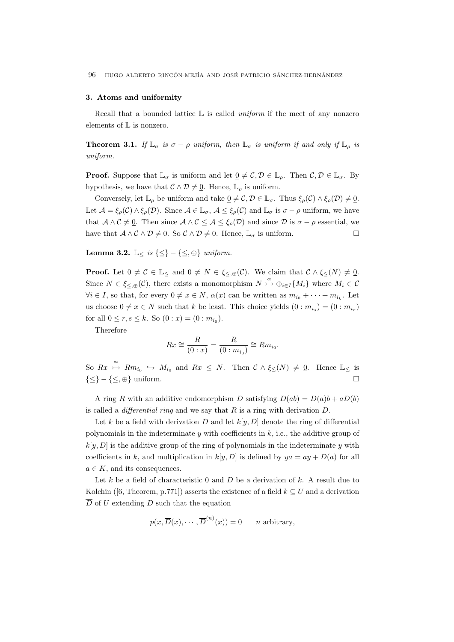# 3. Atoms and uniformity

Recall that a bounded lattice  $\mathbb L$  is called *uniform* if the meet of any nonzero elements of L is nonzero.

**Theorem 3.1.** If  $\mathbb{L}_{\sigma}$  is  $\sigma - \rho$  uniform, then  $\mathbb{L}_{\sigma}$  is uniform if and only if  $\mathbb{L}_{\rho}$  is uniform.

**Proof.** Suppose that  $\mathbb{L}_{\sigma}$  is uniform and let  $\underline{0} \neq C, \mathcal{D} \in \mathbb{L}_{\rho}$ . Then  $C, \mathcal{D} \in \mathbb{L}_{\sigma}$ . By hypothesis, we have that  $C \wedge D \neq \underline{0}$ . Hence,  $\mathbb{L}_{\rho}$  is uniform.

Conversely, let  $\mathbb{L}_{\rho}$  be uniform and take  $\underline{0} \neq \mathcal{C}, \mathcal{D} \in \mathbb{L}_{\sigma}$ . Thus  $\xi_{\rho}(\mathcal{C}) \wedge \xi_{\rho}(\mathcal{D}) \neq \underline{0}$ . Let  $\mathcal{A} = \xi_{\rho}(\mathcal{C}) \wedge \xi_{\rho}(\mathcal{D})$ . Since  $\mathcal{A} \in \mathbb{L}_{\sigma}$ ,  $\mathcal{A} \leq \xi_{\rho}(\mathcal{C})$  and  $\mathbb{L}_{\sigma}$  is  $\sigma - \rho$  uniform, we have that  $A \wedge C \neq 0$ . Then since  $A \wedge C \leq A \leq \xi_o(D)$  and since D is  $\sigma - \rho$  essential, we have that  $A \wedge C \wedge D \neq 0$ . So  $C \wedge D \neq 0$ . Hence,  $\mathbb{L}_{\sigma}$  is uniform.

Lemma 3.2.  $\mathbb{L}_{\leq}$  is  $\{\leq\} - \{\leq,\oplus\}$  uniform.

**Proof.** Let  $0 \neq C \in \mathbb{L}$ <sub><</sub> and  $0 \neq N \in \xi_{\leq \oplus}(\mathcal{C})$ . We claim that  $C \wedge \xi_{\leq}(N) \neq \underline{0}$ . Since  $N \in \xi_{\leq,\oplus}(\mathcal{C})$ , there exists a monomorphism  $N \stackrel{\alpha}{\rightarrow} \oplus_{i \in I} \{M_i\}$  where  $M_i \in \mathcal{C}$  $\forall i \in I$ , so that, for every  $0 \neq x \in N$ ,  $\alpha(x)$  can be written as  $m_{i_0} + \cdots + m_{i_k}$ . Let us choose  $0 \neq x \in N$  such that k be least. This choice yields  $(0 : m_{i_s}) = (0 : m_{i_r})$ for all  $0 \le r, s \le k$ . So  $(0 : x) = (0 : m_{i_0}).$ 

Therefore

$$
Rx \cong \frac{R}{(0:x)} = \frac{R}{(0:m_{i_0})} \cong Rm_{i_0}.
$$

So  $Rx \stackrel{\cong}{\rightarrow} Rm_{i_0} \hookrightarrow M_{i_0}$  and  $Rx \leq N$ . Then  $C \wedge \xi \leq (N) \neq 0$ . Hence  $\mathbb{L}_{\leq}$  is  $\{\leq\} - \{\leq,\oplus\}$  uniform.

A ring R with an additive endomorphism D satisfying  $D(ab) = D(a)b + aD(b)$ is called a *differential ring* and we say that  $R$  is a ring with derivation  $D$ .

Let k be a field with derivation D and let  $k[y, D]$  denote the ring of differential polynomials in the indeterminate  $y$  with coefficients in  $k$ , i.e., the additive group of  $k[y, D]$  is the additive group of the ring of polynomials in the indeterminate y with coefficients in k, and multiplication in  $k[y, D]$  is defined by  $ya = ay + D(a)$  for all  $a \in K$ , and its consequences.

Let  $k$  be a field of characteristic 0 and  $D$  be a derivation of  $k$ . A result due to Kolchin ([6, Theorem, p.771]) asserts the existence of a field  $k \subseteq U$  and a derivation  $\overline{D}$  of U extending D such that the equation

$$
p(x, \overline{D}(x), \cdots, \overline{D}^{(n)}(x)) = 0
$$
 n arbitrary,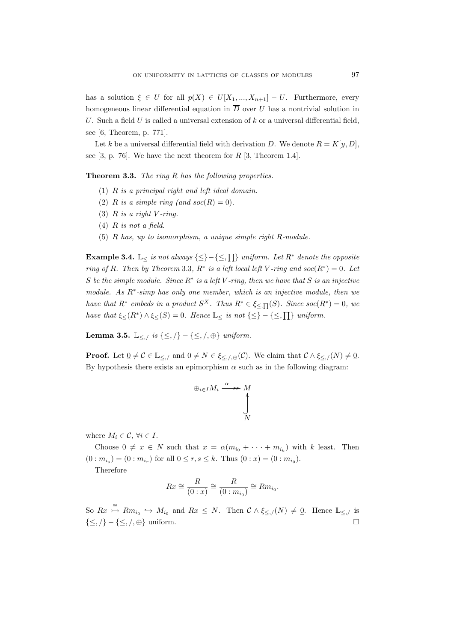has a solution  $\xi \in U$  for all  $p(X) \in U[X_1, ..., X_{n+1}] - U$ . Furthermore, every homogeneous linear differential equation in  $\overline{D}$  over U has a nontrivial solution in U. Such a field  $U$  is called a universal extension of  $k$  or a universal differential field, see [6, Theorem, p. 771].

Let k be a universal differential field with derivation D. We denote  $R = K[y, D]$ , see [3, p. 76]. We have the next theorem for  $R$  [3, Theorem 1.4].

Theorem 3.3. The ring R has the following properties.

- (1) R is a principal right and left ideal domain.
- (2) R is a simple ring (and  $soc(R) = 0$ ).
- (3)  $R$  is a right  $V$ -ring.
- $(4)$  R is not a field.
- (5) R has, up to isomorphism, a unique simple right R-module.

**Example 3.4.** L<sub>≤</sub> is not always  $\{\leq\} - \{\leq$ ,  $\prod\}$  uniform. Let  $R^*$  denote the opposite ring of R. Then by Theorem 3.3,  $R^*$  is a left local left V-ring and soc $(R^*) = 0$ . Let S be the simple module. Since  $R^*$  is a left V-ring, then we have that S is an injective module. As  $R^*$ -simp has only one member, which is an injective module, then we have that  $R^*$  embeds in a product  $S^X$ . Thus  $R^* \in \xi_{\leq \Pi}(S)$ . Since  $\operatorname{soc}(R^*)=0$ , we have that  $\xi_{\leq}(R^*) \wedge \xi_{\leq}(S) = \underline{0}$ . Hence  $\mathbb{L}_{\leq}$  is not  $\{\leq\} - \{\leq,\prod\}$  uniform.

Lemma 3.5.  $\mathbb{L}_{\leq,\ell}$  is  $\{\leq,\ell\}-\{\leq,\ell\},\}$  uniform.

**Proof.** Let  $\underline{0} \neq C \in \mathbb{L}_{\leq \alpha}$  and  $0 \neq N \in \xi_{\leq \alpha}(\mathcal{C})$ . We claim that  $C \wedge \xi_{\leq \alpha}(\alpha) \neq \underline{0}$ . By hypothesis there exists an epimorphism  $\alpha$  such as in the following diagram:

$$
\bigoplus_{i\in I} M_i \xrightarrow{\alpha} M
$$

where  $M_i \in \mathcal{C}, \forall i \in I$ .

Choose  $0 \neq x \in N$  such that  $x = \alpha(m_{i_0} + \cdots + m_{i_k})$  with k least. Then  $(0: m_{i_s}) = (0: m_{i_r})$  for all  $0 \le r, s \le k$ . Thus  $(0: x) = (0: m_{i_0})$ .

Therefore

$$
Rx \cong \frac{R}{(0:x)} \cong \frac{R}{(0:m_{i_0})} \cong Rm_{i_0}.
$$

So  $Rx \stackrel{\cong}{\rightarrow} Rm_{i_0} \hookrightarrow M_{i_0}$  and  $Rx \leq N$ . Then  $C \wedge \xi_{\leq \gamma}(N) \neq \underline{0}$ . Hence  $\mathbb{L}_{\leq \gamma}$  is  $\{\leq,\}/\}-\{\leq,\!/,\oplus\}$  uniform.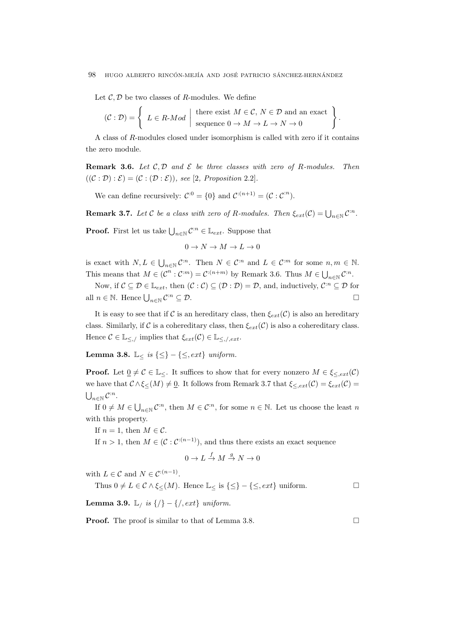Let  $\mathcal{C}, \mathcal{D}$  be two classes of R-modules. We define

$$
(\mathcal{C} : \mathcal{D}) = \left\{ L \in R \text{-}Mod \mid \text{there exist } M \in \mathcal{C}, N \in \mathcal{D} \text{ and an exact} \atop \text{sequence } 0 \to M \to L \to N \to 0 \right\}.
$$

A class of R-modules closed under isomorphism is called with zero if it contains the zero module.

**Remark 3.6.** Let  $C, D$  and  $\mathcal E$  be three classes with zero of R-modules. Then  $((\mathcal{C} : \mathcal{D}) : \mathcal{E}) = (\mathcal{C} : (\mathcal{D} : \mathcal{E}))$ , see [2, Proposition 2.2].

We can define recursively:  $C^{0} = \{0\}$  and  $C^{:(n+1)} = (C : C^{n})$ .

**Remark 3.7.** Let C be a class with zero of R-modules. Then  $\xi_{ext}(\mathcal{C}) = \bigcup_{n \in \mathbb{N}} \mathcal{C}^n$ .

**Proof.** First let us take  $\bigcup_{n\in\mathbb{N}}\mathcal{C}^{\cdot n} \in \mathbb{L}_{ext}$ . Suppose that

$$
0\to N\to M\to L\to 0
$$

is exact with  $N, L \in \bigcup_{n \in \mathbb{N}} \mathcal{C}^{\cdot n}$ . Then  $N \in \mathcal{C}^{\cdot n}$  and  $L \in \mathcal{C}^{\cdot m}$  for some  $n, m \in \mathbb{N}$ . This means that  $M \in (\mathcal{C}^n : \mathcal{C}^m) = \mathcal{C}^{:(n+m)}$  by Remark 3.6. Thus  $M \in \bigcup_{n \in \mathbb{N}} \mathcal{C}^m$ .

Now, if  $\mathcal{C} \subseteq \mathcal{D} \in \mathbb{L}_{ext}$ , then  $(\mathcal{C} : \mathcal{C}) \subseteq (\mathcal{D} : \mathcal{D}) = \mathcal{D}$ , and, inductively,  $\mathcal{C}^{\cdot n} \subseteq \mathcal{D}$  for all  $n \in \mathbb{N}$ . Hence  $\bigcup_{n \in \mathbb{N}} C^{n} \subseteq \mathcal{D}$ .

It is easy to see that if C is an hereditary class, then  $\xi_{ext}(\mathcal{C})$  is also an hereditary class. Similarly, if C is a cohereditary class, then  $\xi_{ext}(\mathcal{C})$  is also a cohereditary class. Hence  $C \in \mathbb{L}_{\leq \mathcal{N}}$  implies that  $\xi_{ext}(\mathcal{C}) \in \mathbb{L}_{\leq \mathcal{N},ext}$ .

Lemma 3.8.  $\mathbb{L} \leq$  is  $\{\leq\} - \{\leq, ext\}$  uniform.

**Proof.** Let  $\underline{0} \neq C \in \mathbb{L}_{\leq}$ . It suffices to show that for every nonzero  $M \in \xi_{\leq,ext}(C)$ we have that  $\mathcal{C} \wedge \xi \leq (M) \neq \underline{0}$ . It follows from Remark 3.7 that  $\xi \leq_{ext}(\mathcal{C}) = \xi_{ext}(\mathcal{C}) =$  $\bigcup_{n\in\mathbb{N}}\mathcal{C}^{\mathbb{N}}$ .

If  $0 \neq M \in \bigcup_{n \in \mathbb{N}} C^{n}$ , then  $M \in \mathcal{C}^{\cdot n}$ , for some  $n \in \mathbb{N}$ . Let us choose the least n with this property.

If  $n = 1$ , then  $M \in \mathcal{C}$ .

If  $n > 1$ , then  $M \in (\mathcal{C}: \mathcal{C}^{(n-1)})$ , and thus there exists an exact sequence

$$
0\to L\stackrel{f}\to M\stackrel{g}\to N\to 0
$$

with  $L \in \mathcal{C}$  and  $N \in \mathcal{C}^{:(n-1)}$ .

Thus  $0 \neq L \in \mathcal{C} \wedge \xi_{\leq}(M)$ . Hence  $\mathbb{L}_{\leq}$  is  $\{\leq\} - \{\leq, ext\}$  uniform.

Lemma 3.9. L<sub>/</sub> is  $\{/\}$  –  $\{/\}$ , ext} uniform.

**Proof.** The proof is similar to that of Lemma 3.8. □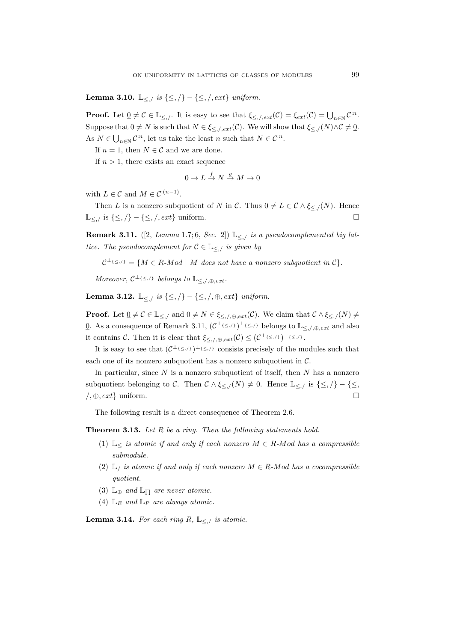**Lemma 3.10.** L<sub>≤,</sub>/ is {≤,/} − {≤,/, ext} uniform.

**Proof.** Let  $\underline{0} \neq C \in \mathbb{L}_{\leq n/2}$ . It is easy to see that  $\xi_{\leq n/2}$ ,  $ext(C) = \xi_{ext}(C) = \bigcup_{n \in \mathbb{N}} C^{n}$ . Suppose that  $0 \neq N$  is such that  $N \in \xi_{\leq n, \ell}(\mathcal{C})$ . We will show that  $\xi_{\leq n, \ell}(N) \wedge \mathcal{C} \neq \underline{0}$ . As  $N \in \bigcup_{n \in \mathbb{N}} \mathcal{C}^{\cdot n}$ , let us take the least  $n$  such that  $N \in \mathcal{C}^{\cdot n}$ .

If  $n = 1$ , then  $N \in \mathcal{C}$  and we are done.

If  $n > 1$ , there exists an exact sequence

$$
0 \to L \xrightarrow{f} N \xrightarrow{g} M \to 0
$$

with  $L \in \mathcal{C}$  and  $M \in \mathcal{C}^{:(n-1)}$ .

Then L is a nonzero subquotient of N in C. Thus  $0 \neq L \in \mathcal{C} \wedge \xi \leq \mathcal{N}$ . Hence  $\mathbb{L}_{\leq \sqrt{\mathbb{L}}}\$  is  $\{\leq,\}/\}$  –  $\{\leq,\}/,ext\}$  uniform.

**Remark 3.11.** ([2, Lemma 1.7; 6, Sec. 2])  $\mathbb{L}_{\leq n}$  is a pseudocomplemented big lattice. The pseudocomplement for  $C \in \mathbb{L}_{\leq n}$  is given by

 $\mathcal{C}^{\perp_{\{\leq,\prime\}}} = \{M \in R \text{-}Mod \mid M \text{ does not have a nonzero subquotient in } \mathcal{C}\}.$ 

Moreover,  $C^{\perp_{\{\leq,\prime\}}}$  belongs to  $\mathbb{L}_{\leq,\prime,\oplus,ext}$ .

Lemma 3.12.  $\mathbb{L}_{\leq \mathcal{N}}$  is  $\{\leq,\mathcal{N}\}-\{\leq,\mathcal{N},\oplus,ext\}$  uniform.

**Proof.** Let  $\underline{0} \neq C \in \mathbb{L}_{\leq,r}$  and  $0 \neq N \in \xi_{\leq,r}(\mathcal{C})$ . We claim that  $C \wedge \xi_{\leq,r}(N) \neq \xi_{\leq,r}(N)$ 0. As a consequence of Remark 3.11,  $(C^{\perp_{\{\leq,\}}})^{\perp_{\{\leq,\}}}\}$  belongs to  $\mathbb{L}_{\leq,\neq,\oplus,ext}$  and also it contains C. Then it is clear that  $\xi_{\leq,\ell,\oplus,ext}(\mathcal{C}) \leq (\mathcal{C}^{\perp_{\{\leq,\ell\}}})^{\perp_{\{\leq,\ell\}}}$ .

It is easy to see that  $(\mathcal{C}^{\perp_{\{\leq,\mathcal{N}\}}} )^{\perp_{\{\leq,\mathcal{N}\}}}$  consists precisely of the modules such that each one of its nonzero subquotient has a nonzero subquotient in  $\mathcal{C}$ .

In particular, since  $N$  is a nonzero subquotient of itself, then  $N$  has a nonzero subquotient belonging to C. Then  $\mathcal{C} \wedge \xi \leq \mathcal{C}(N) \neq \underline{0}$ . Hence  $\mathbb{L}_{\leq \mathcal{C}}$  is  $\{\leq \mathcal{C}\}\$  $\langle \theta, \theta \rangle$ , ext} uniform.

The following result is a direct consequence of Theorem 2.6.

Theorem 3.13. Let R be a ring. Then the following statements hold.

- (1)  $\mathbb{L}<$  is atomic if and only if each nonzero  $M \in R$ -Mod has a compressible submodule.
- (2)  $\mathbb{L}_i$  is atomic if and only if each nonzero  $M \in R$ -Mod has a cocompressible quotient.
- (3)  $\mathbb{L}_{\oplus}$  and  $\mathbb{L}_{\Pi}$  are never atomic.
- (4)  $\mathbb{L}_E$  and  $\mathbb{L}_P$  are always atomic.

**Lemma 3.14.** For each ring R,  $\mathbb{L}_{\leq n}$  is atomic.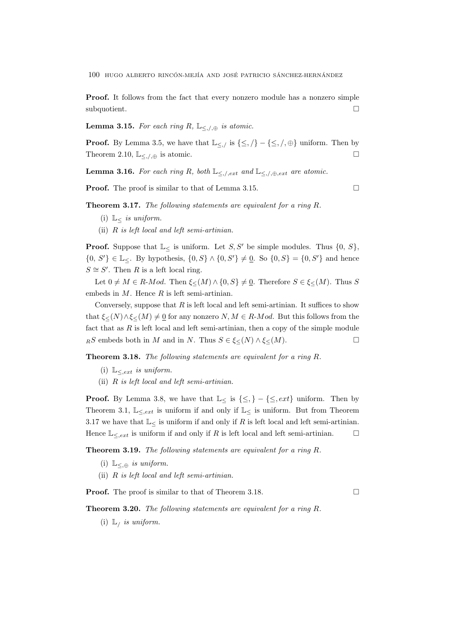Proof. It follows from the fact that every nonzero module has a nonzero simple subquotient.

**Lemma 3.15.** For each ring R,  $\mathbb{L}_{\leq,\ell,\oplus}$  is atomic.

**Proof.** By Lemma 3.5, we have that  $\mathbb{L}_{\leq \mathcal{N}}$  is  $\{\leq \mathcal{N}\} - \{\leq \mathcal{N}, \oplus\}$  uniform. Then by Theorem 2.10,  $\mathbb{L}_{\leq \cdot/\oplus}$  is atomic.

**Lemma 3.16.** For each ring R, both  $\mathbb{L}_{\leq \cup, ext}$  and  $\mathbb{L}_{\leq \cup, \oplus, ext}$  are atomic.

**Proof.** The proof is similar to that of Lemma 3.15. □

Theorem 3.17. The following statements are equivalent for a ring R.

- (i)  $\mathbb{L}_{\leq}$  is uniform.
- (ii)  $R$  is left local and left semi-artinian.

**Proof.** Suppose that  $\mathbb{L}_{\leq}$  is uniform. Let S, S' be simple modules. Thus  $\{0, S\}$ ,  ${0, S' \in \mathbb{L}_{\le}}$ . By hypothesis,  ${0, S} \wedge {0, S'} \neq \underline{0}$ . So  ${0, S} = {0, S'}$  and hence  $S \cong S'$ . Then R is a left local ring.

Let  $0 \neq M \in R$ -*Mod.* Then  $\xi \leq (M) \wedge \{0, S\} \neq \underline{0}$ . Therefore  $S \in \xi \leq (M)$ . Thus S embeds in  $M$ . Hence  $R$  is left semi-artinian.

Conversely, suppose that  $R$  is left local and left semi-artinian. It suffices to show that  $\xi \leq (N) \wedge \xi \leq (M) \neq 0$  for any nonzero  $N, M \in R$ -Mod. But this follows from the fact that as  $R$  is left local and left semi-artinian, then a copy of the simple module  $RS$  embeds both in M and in N. Thus  $S \in \xi \leq (N) \wedge \xi \leq (M)$ .

Theorem 3.18. The following statements are equivalent for a ring R.

- (i)  $\mathbb{L}_{\le,ext}$  is uniform.
- (ii)  $R$  is left local and left semi-artinian.

**Proof.** By Lemma 3.8, we have that  $\mathbb{L}_{\leq}$  is  $\{\leq,\}$  –  $\{\leq,\text{ext}\}$  uniform. Then by Theorem 3.1,  $\mathbb{L}_{\leq,ext}$  is uniform if and only if  $\mathbb{L}_{\leq}$  is uniform. But from Theorem 3.17 we have that  $\mathbb{L}_{\leq}$  is uniform if and only if R is left local and left semi-artinian. Hence  $\mathbb{L}_{\leq,ext}$  is uniform if and only if R is left local and left semi-artinian.  $\Box$ 

Theorem 3.19. The following statements are equivalent for a ring R.

- (i)  $\mathbb{L}_{\leq \oplus}$  is uniform.
- (ii)  $R$  is left local and left semi-artinian.

**Proof.** The proof is similar to that of Theorem 3.18.

Theorem 3.20. The following statements are equivalent for a ring R.

(i)  $\mathbb{L}_i$  is uniform.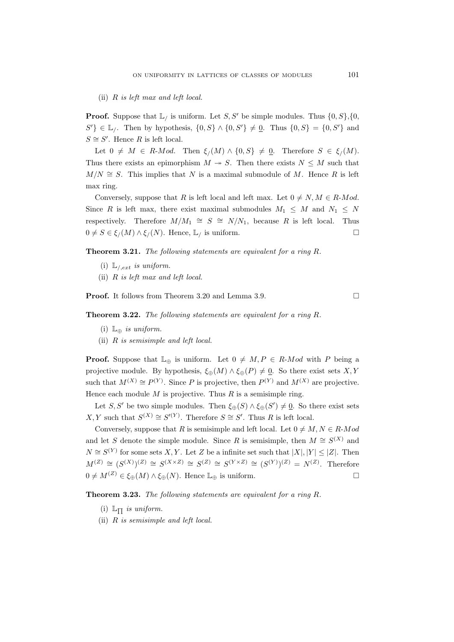(ii) R is left max and left local.

**Proof.** Suppose that  $\mathbb{L}_l$  is uniform. Let S, S' be simple modules. Thus  $\{0, S\}$ ,  $\{0,$  $S'$ } ∈ L<sub>/</sub>. Then by hypothesis,  $\{0, S\} \wedge \{0, S'\} \neq \underline{0}$ . Thus  $\{0, S\} = \{0, S'\}$  and  $S \cong S'$ . Hence R is left local.

Let  $0 \neq M \in R$ -*Mod.* Then  $\xi(M) \wedge \{0, S\} \neq 0$ . Therefore  $S \in \xi(M)$ . Thus there exists an epimorphism  $M \to S$ . Then there exists  $N \leq M$  such that  $M/N \cong S$ . This implies that N is a maximal submodule of M. Hence R is left max ring.

Conversely, suppose that R is left local and left max. Let  $0 \neq N, M \in R$ -Mod. Since R is left max, there exist maximal submodules  $M_1 \leq M$  and  $N_1 \leq N$ respectively. Therefore  $M/M_1 \cong S \cong N/N_1$ , because R is left local. Thus  $0 \neq S \in \xi/(M) \wedge \xi/(N)$ . Hence, L<sub>/</sub> is uniform.

Theorem 3.21. The following statements are equivalent for a ring R.

- (i)  $\mathbb{L}_{\ell,ext}$  is uniform.
- (ii) R is left max and left local.

**Proof.** It follows from Theorem 3.20 and Lemma 3.9. □

Theorem 3.22. The following statements are equivalent for a ring R.

- (i)  $\mathbb{L}_{\oplus}$  *is uniform.*
- (ii) R is semisimple and left local.

**Proof.** Suppose that  $\mathbb{L}_{\oplus}$  is uniform. Let  $0 \neq M, P \in R$ -Mod with P being a projective module. By hypothesis,  $\xi_{\oplus}(M) \wedge \xi_{\oplus}(P) \neq \underline{0}$ . So there exist sets X, Y such that  $M^{(X)} \cong P^{(Y)}$ . Since P is projective, then  $P^{(Y)}$  and  $M^{(X)}$  are projective. Hence each module  $M$  is projective. Thus  $R$  is a semisimple ring.

Let S, S' be two simple modules. Then  $\xi_{\oplus}(S) \wedge \xi_{\oplus}(S') \neq \underline{0}$ . So there exist sets  $X, Y$  such that  $S^{(X)} \cong S'^{(Y)}$ . Therefore  $S \cong S'$ . Thus R is left local.

Conversely, suppose that R is semisimple and left local. Let  $0 \neq M, N \in R$ -Mod and let S denote the simple module. Since R is semisimple, then  $M \cong S^{(X)}$  and  $N \cong S^{(Y)}$  for some sets X, Y. Let Z be a infinite set such that  $|X|, |Y| \leq |Z|$ . Then  $M^{(Z)} \cong (S^{(X)})^{(Z)} \cong S^{(X \times Z)} \cong S^{(Z)} \cong S^{(Y \times Z)} \cong (S^{(Y)})^{(Z)} = N^{(Z)}$ . Therefore  $0 \neq M^{(Z)} \in \xi_{\oplus}(M) \wedge \xi_{\oplus}(N)$ . Hence  $\mathbb{L}_{\oplus}$  is uniform.

Theorem 3.23. The following statements are equivalent for a ring R.

- (i)  $\mathbb{L}_{\Pi}$  is uniform.
- (ii) R is semisimple and left local.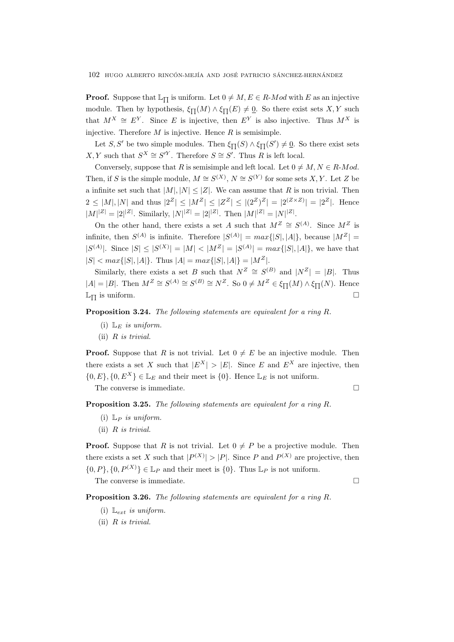**Proof.** Suppose that  $\mathbb{L}_{\Pi}$  is uniform. Let  $0 \neq M$ ,  $E \in R$ -Mod with E as an injective module. Then by hypothesis,  $\xi_{\Pi}(M) \wedge \xi_{\Pi}(E) \neq \underline{0}$ . So there exist sets X, Y such that  $M^X \cong E^Y$ . Since E is injective, then  $E^Y$  is also injective. Thus  $M^X$  is injective. Therefore  $M$  is injective. Hence  $R$  is semisimple.

Let S, S' be two simple modules. Then  $\xi_{\Pi}(S) \wedge \xi_{\Pi}(S') \neq \underline{0}$ . So there exist sets  $X, Y$  such that  $S^X \cong S^{\prime Y}$ . Therefore  $S \cong S'$ . Thus R is left local.

Conversely, suppose that R is semisimple and left local. Let  $0 \neq M, N \in R$ -Mod. Then, if S is the simple module,  $M \cong S^{(X)}$ ,  $N \cong S^{(Y)}$  for some sets X, Y. Let Z be a infinite set such that  $|M|, |N| \leq |Z|$ . We can assume that R is non trivial. Then  $2 \leq |M|, |N|$  and thus  $|2^Z| \leq |M^Z| \leq |Z^Z| \leq |(2^Z)^Z| = |2^{(Z \times Z)}| = |2^Z|$ . Hence  $|M|^{|Z|} = |2|^{|Z|}$ . Similarly,  $|N|^{|Z|} = |2|^{|Z|}$ . Then  $|M|^{|Z|} = |N|^{|Z|}$ .

On the other hand, there exists a set A such that  $M^Z \cong S^{(A)}$ . Since  $M^Z$  is infinite, then  $S^{(A)}$  is infinite. Therefore  $|S^{(A)}| = max\{|S|, |A|\}$ , because  $|M^Z| =$  $|S^{(A)}|$ . Since  $|S| \leq |S^{(X)}| = |M| < |M^Z| = |S^{(A)}| = max\{|S|, |A|\}$ , we have that  $|S| < max\{|S|, |A|\}.$  Thus  $|A| = max\{|S|, |A|\} = |M^Z|.$ 

Similarly, there exists a set B such that  $N^Z \cong S^{(B)}$  and  $|N^Z| = |B|$ . Thus  $|A| = |B|$ . Then  $M^Z \cong S^{(A)} \cong S^{(B)} \cong N^Z$ . So  $0 \neq M^Z \in \xi_{\prod}(M) \wedge \xi_{\prod}(N)$ . Hence  $\mathbb{L}_{\Pi}$  is uniform.

Proposition 3.24. The following statements are equivalent for a ring R.

- (i)  $\mathbb{L}_E$  is uniform.
- (ii)  $R$  is trivial.

**Proof.** Suppose that R is not trivial. Let  $0 \neq E$  be an injective module. Then there exists a set X such that  $|E^X| > |E|$ . Since E and  $E^X$  are injective, then  $\{0, E\}, \{0, E^X\} \in \mathbb{L}_E$  and their meet is  $\{0\}$ . Hence  $\mathbb{L}_E$  is not uniform.

The converse is immediate.  $\hfill \square$ 

Proposition 3.25. The following statements are equivalent for a ring R.

- (i)  $\mathbb{L}_P$  is uniform.
- (ii) R is trivial.

**Proof.** Suppose that R is not trivial. Let  $0 \neq P$  be a projective module. Then there exists a set X such that  $|P^{(X)}|>|P|$ . Since P and  $P^{(X)}$  are projective, then  $\{0, P\}, \{0, P^{(X)}\} \in \mathbb{L}_P$  and their meet is  $\{0\}$ . Thus  $\mathbb{L}_P$  is not uniform.

The converse is immediate.

Proposition 3.26. The following statements are equivalent for a ring R.

- (i)  $\mathbb{L}_{ext}$  is uniform.
- (ii) R is trivial.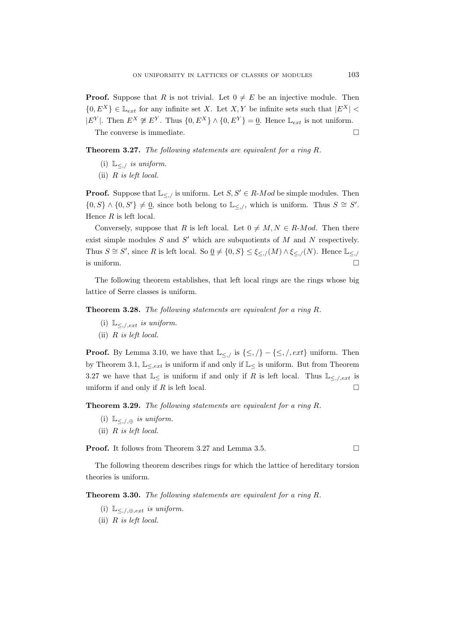**Proof.** Suppose that R is not trivial. Let  $0 \neq E$  be an injective module. Then  ${0, E^X} \in \mathbb{L}_{ext}$  for any infinite set X. Let X, Y be infinite sets such that  $|E^X|$  <  $|E^{Y}|$ . Then  $E^{X} \not\cong E^{Y}$ . Thus  $\{0, E^{X}\}\wedge\{0, E^{Y}\} = \underline{0}$ . Hence  $\mathbb{L}_{ext}$  is not uniform. The converse is immediate.

Theorem 3.27. The following statements are equivalent for a ring R.

- (i)  $\mathbb{L}_{\leq n}$  is uniform.
- (ii)  $R$  is left local.

**Proof.** Suppose that  $\mathbb{L}_{\leq \cdot}$  is uniform. Let  $S, S' \in R$ -Mod be simple modules. Then  ${0, S} \wedge {0, S'} \neq 0$ , since both belong to  $\mathbb{L}_{\leq,\ell}$ , which is uniform. Thus  $S \cong S'$ . Hence  $R$  is left local.

Conversely, suppose that R is left local. Let  $0 \neq M, N \in R$ -Mod. Then there exist simple modules  $S$  and  $S'$  which are subquotients of  $M$  and  $N$  respectively. Thus  $S \cong S'$ , since R is left local. So  $\underline{0} \neq \{0, S\} \leq \xi_{\leq \frac{1}{N}}(M) \wedge \xi_{\leq \frac{1}{N}}(N)$ . Hence  $\mathbb{L}_{\leq \frac{1}{N}}$ is uniform.  $\Box$ 

The following theorem establishes, that left local rings are the rings whose big lattice of Serre classes is uniform.

Theorem 3.28. The following statements are equivalent for a ring R.

- (i)  $\mathbb{L}_{\leq, /, ext}$  is uniform.
- (ii)  $R$  is left local.

**Proof.** By Lemma 3.10, we have that  $\mathbb{L}_{\leq,\ell}$  is  $\{\leq,\ell\} - \{\leq,\ell\}$ , uniform. Then by Theorem 3.1,  $\mathbb{L}_{\leq,ext}$  is uniform if and only if  $\mathbb{L}_{\leq}$  is uniform. But from Theorem 3.27 we have that  $\mathbb{L}_{\leq}$  is uniform if and only if R is left local. Thus  $\mathbb{L}_{\leq}$ ,  $\ell_{ext}$  is uniform if and only if  $R$  is left local.

Theorem 3.29. The following statements are equivalent for a ring R.

- (i)  $\mathbb{L}_{\leq,\prime,\oplus}$  is uniform.
- (ii)  $R$  is left local.

**Proof.** It follows from Theorem 3.27 and Lemma 3.5. □

The following theorem describes rings for which the lattice of hereditary torsion theories is uniform.

Theorem 3.30. The following statements are equivalent for a ring R.

- (i)  $\mathbb{L}_{\leq,\neq,\oplus,ext}$  is uniform.
- (ii) R is left local.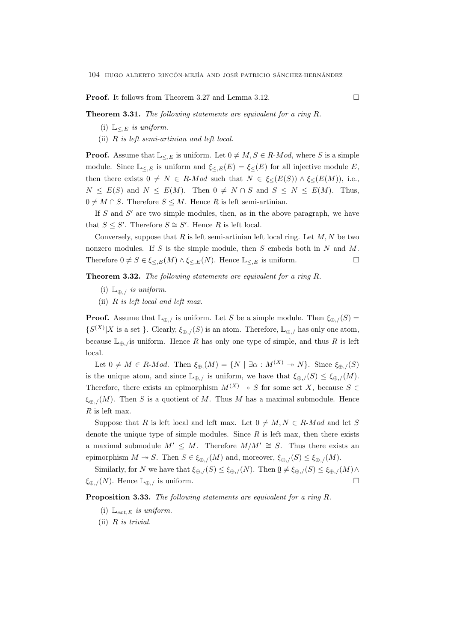**Proof.** It follows from Theorem 3.27 and Lemma 3.12. □

Theorem 3.31. The following statements are equivalent for a ring R.

- (i)  $\mathbb{L}_{\leq E}$  is uniform.
- (ii) R is left semi-artinian and left local.

**Proof.** Assume that  $\mathbb{L}_{\leq E}$  is uniform. Let  $0 \neq M, S \in R$ -Mod, where S is a simple module. Since  $\mathbb{L}_{\leq E}$  is uniform and  $\xi_{\leq E}(E) = \xi_{\leq E}(E)$  for all injective module E, then there exists  $0 \neq N \in R$ -Mod such that  $N \in \xi \leq (E(S)) \wedge \xi \leq (E(M))$ , i.e.,  $N \le E(S)$  and  $N \le E(M)$ . Then  $0 \ne N \cap S$  and  $S \le N \le E(M)$ . Thus,  $0 \neq M \cap S$ . Therefore  $S \leq M$ . Hence R is left semi-artinian.

If  $S$  and  $S'$  are two simple modules, then, as in the above paragraph, we have that  $S \leq S'$ . Therefore  $S \cong S'$ . Hence R is left local.

Conversely, suppose that  $R$  is left semi-artinian left local ring. Let  $M, N$  be two nonzero modules. If S is the simple module, then S embeds both in N and M. Therefore  $0 \neq S \in \xi_{\leq,E}(M) \wedge \xi_{\leq,E}(N)$ . Hence  $\mathbb{L}_{\leq,E}$  is uniform.

Theorem 3.32. The following statements are equivalent for a ring R.

- (i)  $\mathbb{L}_{\oplus}$ , is uniform.
- (ii)  $R$  is left local and left max.

**Proof.** Assume that  $\mathbb{L}_{\oplus,\ell}$  is uniform. Let S be a simple module. Then  $\xi_{\oplus,\ell}(S)$  =  $\{S^{(X)}|X \text{ is a set }\}\.$  Clearly,  $\xi_{\oplus,}/(S)$  is an atom. Therefore,  $\mathbb{L}_{\oplus,}/\Lambda$  has only one atom, because  $\mathbb{L}_{\oplus}$ , is uniform. Hence R has only one type of simple, and thus R is left local.

Let  $0 \neq M \in R$ -*Mod.* Then  $\xi_{\oplus}(M) = \{N \mid \exists \alpha : M^{(X)} \rightarrow N\}$ . Since  $\xi_{\oplus}(S)$ is the unique atom, and since  $\mathbb{L}_{\oplus,\ell}$  is uniform, we have that  $\xi_{\oplus,\ell}(S) \leq \xi_{\oplus,\ell}(M)$ . Therefore, there exists an epimorphism  $M^{(X)} \rightarrow S$  for some set X, because  $S \in$  $\xi_{\oplus}$ ,  $(M)$ . Then S is a quotient of M. Thus M has a maximal submodule. Hence  $R$  is left max.

Suppose that R is left local and left max. Let  $0 \neq M, N \in R$ -Mod and let S denote the unique type of simple modules. Since  $R$  is left max, then there exists a maximal submodule  $M' \leq M$ . Therefore  $M/M' \cong S$ . Thus there exists an epimorphism  $M \to S$ . Then  $S \in \xi_{\oplus}$ ,  $(M)$  and, moreover,  $\xi_{\oplus}$ ,  $(S) \leq \xi_{\oplus}$ ,  $(M)$ .

Similarly, for N we have that  $\xi_{\oplus}$ ,  $(S) \leq \xi_{\oplus}$ ,  $(N)$ . Then  $\underline{0} \neq \xi_{\oplus}$ ,  $(S) \leq \xi_{\oplus}$ ,  $(M) \wedge$  $\xi_{\oplus}\,(N)$ . Hence  $\mathbb{L}_{\oplus}\,$  is uniform.

Proposition 3.33. The following statements are equivalent for a ring R.

- (i)  $\mathbb{L}_{ext,E}$  is uniform.
- (ii) R is trivial.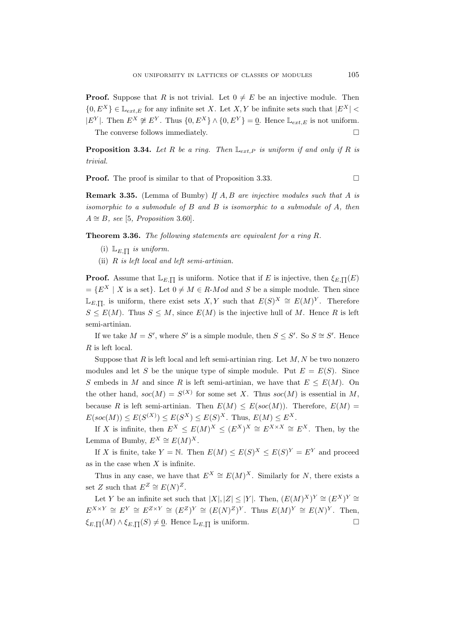**Proof.** Suppose that R is not trivial. Let  $0 \neq E$  be an injective module. Then  $\{0, E^X\} \in \mathbb{L}_{ext,E}$  for any infinite set X. Let X, Y be infinite sets such that  $|E^X|$  <  $|E^{Y}|$ . Then  $E^{X} \not\cong E^{Y}$ . Thus  $\{0, E^{X}\}\wedge\{0, E^{Y}\} = \underline{0}$ . Hence  $\mathbb{L}_{ext,E}$  is not uniform. The converse follows immediately.

**Proposition 3.34.** Let R be a ring. Then  $\mathbb{L}_{ext,P}$  is uniform if and only if R is trivial.

**Proof.** The proof is similar to that of Proposition 3.33.

**Remark 3.35.** (Lemma of Bumby) If A, B are injective modules such that A is isomorphic to a submodule of  $B$  and  $B$  is isomorphic to a submodule of  $A$ , then  $A \cong B$ , see [5, Proposition 3.60].

Theorem 3.36. The following statements are equivalent for a ring R.

- (i)  $\mathbb{L}_{E,\prod}$  is uniform.
- (ii)  $R$  is left local and left semi-artinian.

**Proof.** Assume that  $\mathbb{L}_{E,\Pi}$  is uniform. Notice that if E is injective, then  $\xi_{E,\Pi}(E)$  $=\{E^X \mid X \text{ is a set}\}\.$  Let  $0 \neq M \in R\text{-}Mod$  and S be a simple module. Then since  $\mathbb{L}_{E,\prod}$ , is uniform, there exist sets X, Y such that  $E(S)^X \cong E(M)^Y$ . Therefore  $S \leq E(M)$ . Thus  $S \leq M$ , since  $E(M)$  is the injective hull of M. Hence R is left semi-artinian.

If we take  $M = S'$ , where S' is a simple module, then  $S \leq S'$ . So  $S \cong S'$ . Hence R is left local.

Suppose that  $R$  is left local and left semi-artinian ring. Let  $M, N$  be two nonzero modules and let S be the unique type of simple module. Put  $E = E(S)$ . Since S embeds in M and since R is left semi-artinian, we have that  $E \leq E(M)$ . On the other hand,  $soc(M) = S^{(X)}$  for some set X. Thus  $soc(M)$  is essential in M, because R is left semi-artinian. Then  $E(M) \leq E({\rm soc}(M)$ . Therefore,  $E(M)$  $E(soc(M)) \le E(S^{(X)}) \le E(S^{X}) \le E(S)^{X}$ . Thus,  $E(M) \le E^{X}$ .

If X is infinite, then  $E^X \le E(M)^X \le (E^X)^X \cong E^{X \times X} \cong E^X$ . Then, by the Lemma of Bumby,  $E^X \cong E(M)^X$ .

If X is finite, take  $Y = N$ . Then  $E(M) \leq E(S)^{X} \leq E(S)^{Y} = E^{Y}$  and proceed as in the case when  $X$  is infinite.

Thus in any case, we have that  $E^X \cong E(M)^X$ . Similarly for N, there exists a set Z such that  $E^Z \cong E(N)^Z$ .

Let Y be an infinite set such that  $|X|, |Z| \leq |Y|$ . Then,  $(E(M)^X)^Y \cong (E^X)^Y \cong$  $E^{X\times Y} \cong E^Y \cong E^{Z\times Y} \cong (E^Z)^Y \cong (E(N)^Z)^Y$ . Thus  $E(M)^Y \cong E(N)^Y$ . Then,  $\xi_{E,\Pi}(M) \wedge \xi_{E,\Pi}(S) \neq \underline{0}$ . Hence  $\mathbb{L}_{E,\Pi}$  is uniform.